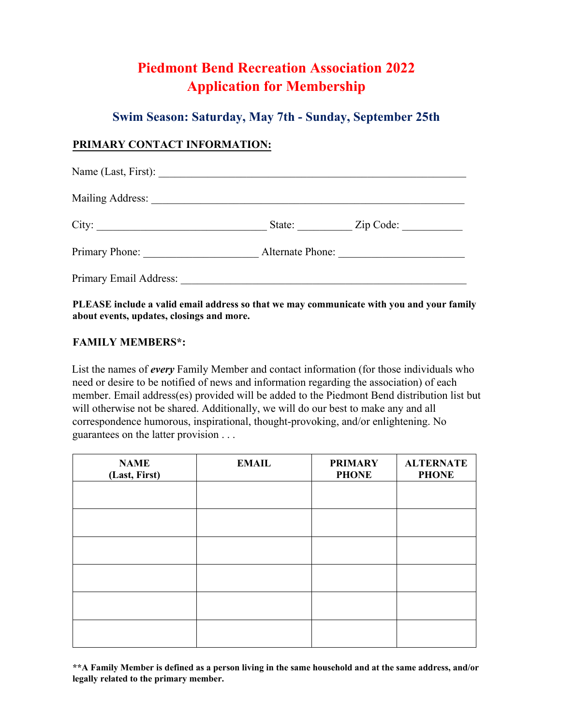# **Piedmont Bend Recreation Association 2022 Application for Membership**

## **Swim Season: Saturday, May 7th - Sunday, September 25th**

## **PRIMARY CONTACT INFORMATION:**

| Mailing Address:       |                  |  |
|------------------------|------------------|--|
| City:                  | State: Zip Code: |  |
| Primary Phone:         | Alternate Phone: |  |
| Primary Email Address: |                  |  |

**PLEASE include a valid email address so that we may communicate with you and your family about events, updates, closings and more.** 

### **FAMILY MEMBERS\*:**

List the names of *every* Family Member and contact information (for those individuals who need or desire to be notified of news and information regarding the association) of each member. Email address(es) provided will be added to the Piedmont Bend distribution list but will otherwise not be shared. Additionally, we will do our best to make any and all correspondence humorous, inspirational, thought-provoking, and/or enlightening. No guarantees on the latter provision . . .

| <b>NAME</b><br>(Last, First) | <b>EMAIL</b> | <b>PRIMARY</b><br><b>PHONE</b> | <b>ALTERNATE</b><br><b>PHONE</b> |
|------------------------------|--------------|--------------------------------|----------------------------------|
|                              |              |                                |                                  |
|                              |              |                                |                                  |
|                              |              |                                |                                  |
|                              |              |                                |                                  |
|                              |              |                                |                                  |
|                              |              |                                |                                  |

**\*\*A Family Member is defined as a person living in the same household and at the same address, and/or legally related to the primary member.**